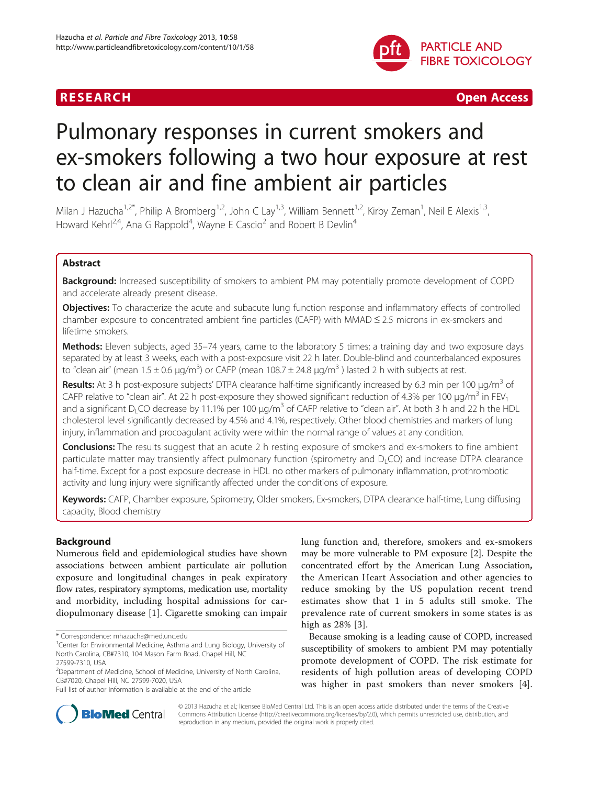

**RESEARCH CHINESE ARCH CHINESE ARCHITECT AND INCLUSIVE ARCHITECT ARCHITECT AND INCLUSIVE ARCHITECT ARCHITECT AND INCLUSIVE ARCHITECT AND INCLUSIVE ARCHITECT AND INCLUSIVE ARCHITECT AND INCLUSIVE ARCHITECT AND INCLUSIVE** 

# Pulmonary responses in current smokers and ex-smokers following a two hour exposure at rest to clean air and fine ambient air particles

Milan J Hazucha<sup>1,2\*</sup>, Philip A Bromberg<sup>1,2</sup>, John C Lay<sup>1,3</sup>, William Bennett<sup>1,2</sup>, Kirby Zeman<sup>1</sup>, Neil E Alexis<sup>1,3</sup>, Howard Kehrl<sup>2,4</sup>, Ana G Rappold<sup>4</sup>, Wayne E Cascio<sup>2</sup> and Robert B Devlin<sup>4</sup>

# Abstract

**Background:** Increased susceptibility of smokers to ambient PM may potentially promote development of COPD and accelerate already present disease.

**Objectives:** To characterize the acute and subacute lung function response and inflammatory effects of controlled chamber exposure to concentrated ambient fine particles (CAFP) with MMAD ≤ 2.5 microns in ex-smokers and lifetime smokers.

Methods: Eleven subjects, aged 35-74 years, came to the laboratory 5 times; a training day and two exposure days separated by at least 3 weeks, each with a post-exposure visit 22 h later. Double-blind and counterbalanced exposures to "clean air" (mean 1.5 ± 0.6 μg/m<sup>3</sup>) or CAFP (mean 108.7 ± 24.8 μg/m<sup>3</sup> ) lasted 2 h with subjects at rest.

Results: At 3 h post-exposure subjects' DTPA clearance half-time significantly increased by 6.3 min per 100 μg/m<sup>3</sup> of CAFP relative to "clean air". At 22 h post-exposure they showed significant reduction of 4.3% per 100  $\mu$ g/m<sup>3</sup> in FEV<sub>1</sub> and a significant D<sub>L</sub>CO decrease by 11.1% per 100  $\mu$ g/m<sup>3</sup> of CAFP relative to "clean air". At both 3 h and 22 h the HDL cholesterol level significantly decreased by 4.5% and 4.1%, respectively. Other blood chemistries and markers of lung injury, inflammation and procoagulant activity were within the normal range of values at any condition.

**Conclusions:** The results suggest that an acute 2 h resting exposure of smokers and ex-smokers to fine ambient particulate matter may transiently affect pulmonary function (spirometry and  $D<sub>L</sub>CO$ ) and increase DTPA clearance half-time. Except for a post exposure decrease in HDL no other markers of pulmonary inflammation, prothrombotic activity and lung injury were significantly affected under the conditions of exposure.

Keywords: CAFP, Chamber exposure, Spirometry, Older smokers, Ex-smokers, DTPA clearance half-time, Lung diffusing capacity, Blood chemistry

# Background

Numerous field and epidemiological studies have shown associations between ambient particulate air pollution exposure and longitudinal changes in peak expiratory flow rates, respiratory symptoms, medication use, mortality and morbidity, including hospital admissions for cardiopulmonary disease [\[1](#page-7-0)]. Cigarette smoking can impair

lung function and, therefore, smokers and ex-smokers may be more vulnerable to PM exposure [\[2\]](#page-7-0). Despite the concentrated effort by the American Lung Association, the American Heart Association and other agencies to reduce smoking by the US population recent trend estimates show that 1 in 5 adults still smoke. The prevalence rate of current smokers in some states is as high as 28% [\[3\]](#page-7-0).

Because smoking is a leading cause of COPD, increased susceptibility of smokers to ambient PM may potentially promote development of COPD. The risk estimate for residents of high pollution areas of developing COPD was higher in past smokers than never smokers [\[4](#page-7-0)].



© 2013 Hazucha et al.; licensee BioMed Central Ltd. This is an open access article distributed under the terms of the Creative Commons Attribution License [\(http://creativecommons.org/licenses/by/2.0\)](http://creativecommons.org/licenses/by/2.0), which permits unrestricted use, distribution, and reproduction in any medium, provided the original work is properly cited.

<sup>\*</sup> Correspondence: [mhazucha@med.unc.edu](mailto:mhazucha@med.unc.edu) <sup>1</sup>

<sup>&</sup>lt;sup>1</sup> Center for Environmental Medicine, Asthma and Lung Biology, University of North Carolina, CB#7310, 104 Mason Farm Road, Chapel Hill, NC 27599-7310, USA

<sup>&</sup>lt;sup>2</sup>Department of Medicine, School of Medicine, University of North Carolina, CB#7020, Chapel Hill, NC 27599-7020, USA

Full list of author information is available at the end of the article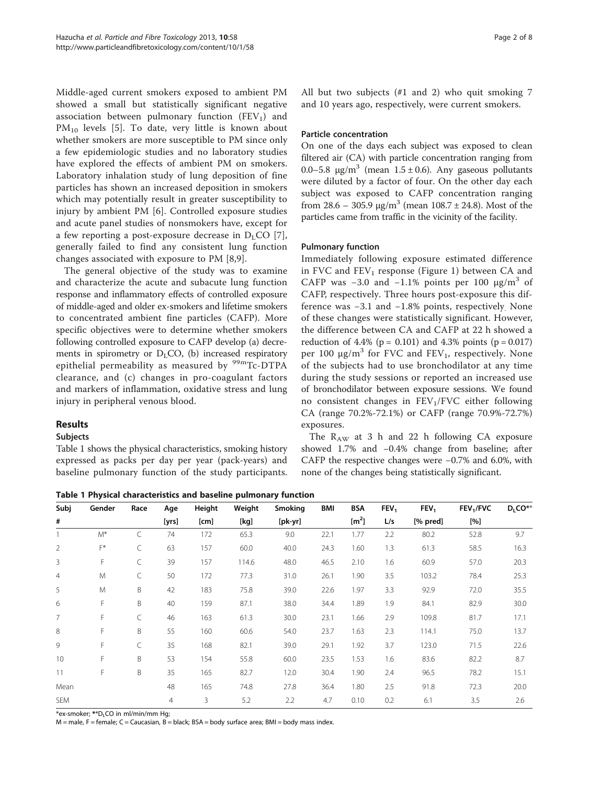Middle-aged current smokers exposed to ambient PM showed a small but statistically significant negative association between pulmonary function  $(FEV<sub>1</sub>)$  and PM<sub>10</sub> levels [[5\]](#page-7-0). To date, very little is known about whether smokers are more susceptible to PM since only a few epidemiologic studies and no laboratory studies have explored the effects of ambient PM on smokers. Laboratory inhalation study of lung deposition of fine particles has shown an increased deposition in smokers which may potentially result in greater susceptibility to injury by ambient PM [[6\]](#page-7-0). Controlled exposure studies and acute panel studies of nonsmokers have, except for a few reporting a post-exposure decrease in  $D_1CO$  [[7](#page-7-0)], generally failed to find any consistent lung function changes associated with exposure to PM [[8,9](#page-7-0)].

The general objective of the study was to examine and characterize the acute and subacute lung function response and inflammatory effects of controlled exposure of middle-aged and older ex-smokers and lifetime smokers to concentrated ambient fine particles (CAFP). More specific objectives were to determine whether smokers following controlled exposure to CAFP develop (a) decrements in spirometry or  $D<sub>L</sub>CO$ , (b) increased respiratory epithelial permeability as measured by  $99mTc-DTPA$ clearance, and (c) changes in pro-coagulant factors and markers of inflammation, oxidative stress and lung injury in peripheral venous blood.

# Results

#### **Subjects**

Table 1 shows the physical characteristics, smoking history expressed as packs per day per year (pack-years) and baseline pulmonary function of the study participants.

All but two subjects (#1 and 2) who quit smoking 7 and 10 years ago, respectively, were current smokers.

#### Particle concentration

On one of the days each subject was exposed to clean filtered air (CA) with particle concentration ranging from 0.0–5.8  $\mu$ g/m<sup>3</sup> (mean 1.5 ± 0.6). Any gaseous pollutants were diluted by a factor of four. On the other day each subject was exposed to CAFP concentration ranging from 28.6 – 305.9  $\mu$ g/m<sup>3</sup> (mean 108.7 ± 24.8). Most of the particles came from traffic in the vicinity of the facility.

#### Pulmonary function

Immediately following exposure estimated difference in FVC and  $FEV_1$  response (Figure [1](#page-2-0)) between CA and CAFP was  $-3.0$  and  $-1.1\%$  points per 100  $\mu$ g/m<sup>3</sup> of CAFP, respectively. Three hours post-exposure this difference was −3.1 and −1.8% points, respectively. None of these changes were statistically significant. However, the difference between CA and CAFP at 22 h showed a reduction of 4.4% ( $p = 0.101$ ) and 4.3% points ( $p = 0.017$ ) per 100  $\mu$ g/m<sup>3</sup> for FVC and FEV<sub>1</sub>, respectively. None of the subjects had to use bronchodilator at any time during the study sessions or reported an increased use of bronchodilator between exposure sessions. We found no consistent changes in  $FEV<sub>1</sub>/FVC$  either following CA (range 70.2%-72.1%) or CAFP (range 70.9%-72.7%) exposures.

The  $R_{AW}$  at 3 h and 22 h following CA exposure showed 1.7% and −0.4% change from baseline; after CAFP the respective changes were −0.7% and 6.0%, with none of the changes being statistically significant.

Table 1 Physical characteristics and baseline pulmonary function

| Subj           | Gender | Race | Age   | Height | Weight | <b>Smoking</b> | BMI  | <b>BSA</b>        | FEV <sub>1</sub> | FEV <sub>1</sub> | FEV <sub>1</sub> /FVC | $D_{L}CO**$ |
|----------------|--------|------|-------|--------|--------|----------------|------|-------------------|------------------|------------------|-----------------------|-------------|
| #              |        |      | [yrs] | [cm]   | [kg]   | [pk-yr]        |      | [m <sup>2</sup> ] | L/s              | [% pred]         | [%]                   |             |
|                | $M^*$  | C    | 74    | 172    | 65.3   | 9.0            | 22.1 | 1.77              | 2.2              | 80.2             | 52.8                  | 9.7         |
| $\overline{2}$ | F*     | C    | 63    | 157    | 60.0   | 40.0           | 24.3 | 1.60              | 1.3              | 61.3             | 58.5                  | 16.3        |
| 3              | F      | C    | 39    | 157    | 114.6  | 48.0           | 46.5 | 2.10              | 1.6              | 60.9             | 57.0                  | 20.3        |
| $\overline{4}$ | M      | C    | 50    | 172    | 77.3   | 31.0           | 26.1 | 1.90              | 3.5              | 103.2            | 78.4                  | 25.3        |
| 5              | M      | B    | 42    | 183    | 75.8   | 39.0           | 22.6 | 1.97              | 3.3              | 92.9             | 72.0                  | 35.5        |
| 6              | F      | B    | 40    | 159    | 87.1   | 38.0           | 34.4 | 1.89              | 1.9              | 84.1             | 82.9                  | 30.0        |
| $\overline{7}$ | F      | C    | 46    | 163    | 61.3   | 30.0           | 23.1 | 1.66              | 2.9              | 109.8            | 81.7                  | 17.1        |
| 8              | F      | B    | 55    | 160    | 60.6   | 54.0           | 23.7 | 1.63              | 2.3              | 114.1            | 75.0                  | 13.7        |
| 9              | F      | C    | 35    | 168    | 82.1   | 39.0           | 29.1 | 1.92              | 3.7              | 123.0            | 71.5                  | 22.6        |
| 10             | F      | B    | 53    | 154    | 55.8   | 60.0           | 23.5 | 1.53              | 1.6              | 83.6             | 82.2                  | 8.7         |
| 11             | F      | B    | 35    | 165    | 82.7   | 12.0           | 30.4 | 1.90              | 2.4              | 96.5             | 78.2                  | 15.1        |
| Mean           |        |      | 48    | 165    | 74.8   | 27.8           | 36.4 | 1.80              | 2.5              | 91.8             | 72.3                  | 20.0        |
| <b>SEM</b>     |        |      | 4     | 3      | 5.2    | 2.2            | 4.7  | 0.10              | 0.2              | 6.1              | 3.5                   | 2.6         |

\*ex-smoker; \*\*DLCO in ml/min/mm Hg;

 $M$  = male, F = female; C = Caucasian, B = black; BSA = body surface area; BMI = body mass index.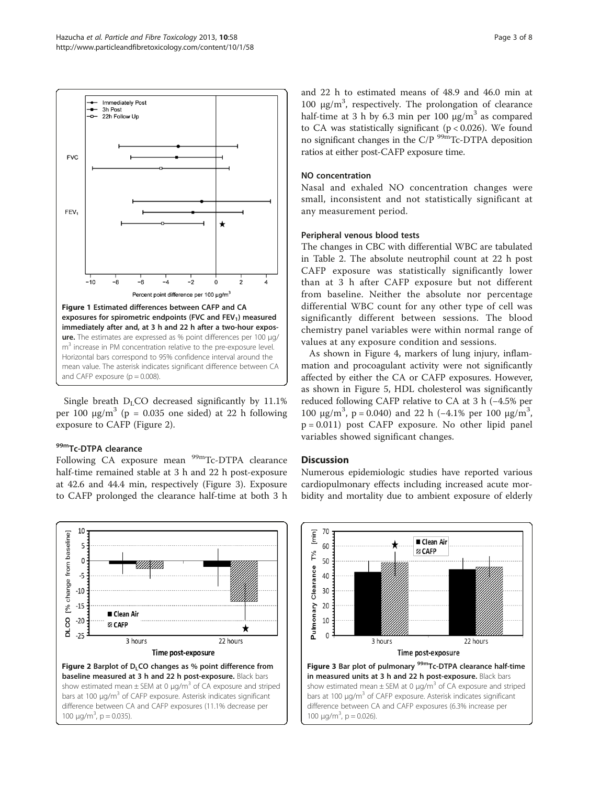<span id="page-2-0"></span>

Single breath  $D_{L}CO$  decreased significantly by 11.1% per 100  $\mu$ g/m<sup>3</sup> (p = 0.035 one sided) at 22 h following exposure to CAFP (Figure 2).

#### 99mTc-DTPA clearance

Following CA exposure mean <sup>99m</sup>Tc-DTPA clearance half-time remained stable at 3 h and 22 h post-exposure at 42.6 and 44.4 min, respectively (Figure 3). Exposure to CAFP prolonged the clearance half-time at both 3 h



and 22 h to estimated means of 48.9 and 46.0 min at 100  $\mu$ g/m<sup>3</sup>, respectively. The prolongation of clearance half-time at 3 h by 6.3 min per 100  $\mu$ g/m<sup>3</sup> as compared to CA was statistically significant ( $p < 0.026$ ). We found no significant changes in the C/P  $\frac{99m}{Tc}$ -DTPA deposition ratios at either post-CAFP exposure time.

# NO concentration

Nasal and exhaled NO concentration changes were small, inconsistent and not statistically significant at any measurement period.

# Peripheral venous blood tests

The changes in CBC with differential WBC are tabulated in Table [2.](#page-3-0) The absolute neutrophil count at 22 h post CAFP exposure was statistically significantly lower than at 3 h after CAFP exposure but not different from baseline. Neither the absolute nor percentage differential WBC count for any other type of cell was significantly different between sessions. The blood chemistry panel variables were within normal range of values at any exposure condition and sessions.

As shown in Figure [4](#page-3-0), markers of lung injury, inflammation and procoagulant activity were not significantly affected by either the CA or CAFP exposures. However, as shown in Figure [5,](#page-3-0) HDL cholesterol was significantly reduced following CAFP relative to CA at 3 h (−4.5% per 100 μg/m<sup>3</sup>, p = 0.040) and 22 h (-4.1% per 100 μg/m<sup>3</sup>, p = 0.011) post CAFP exposure. No other lipid panel variables showed significant changes.

# **Discussion**

Numerous epidemiologic studies have reported various cardiopulmonary effects including increased acute morbidity and mortality due to ambient exposure of elderly



show estimated mean  $\pm$  SEM at 0  $\mu$ g/m<sup>3</sup> of CA exposure and striped bars at 100  $\mu$ g/m<sup>3</sup> of CAFP exposure. Asterisk indicates significant difference between CA and CAFP exposures (6.3% increase per 100  $\mu$ g/m<sup>3</sup>, p = 0.026).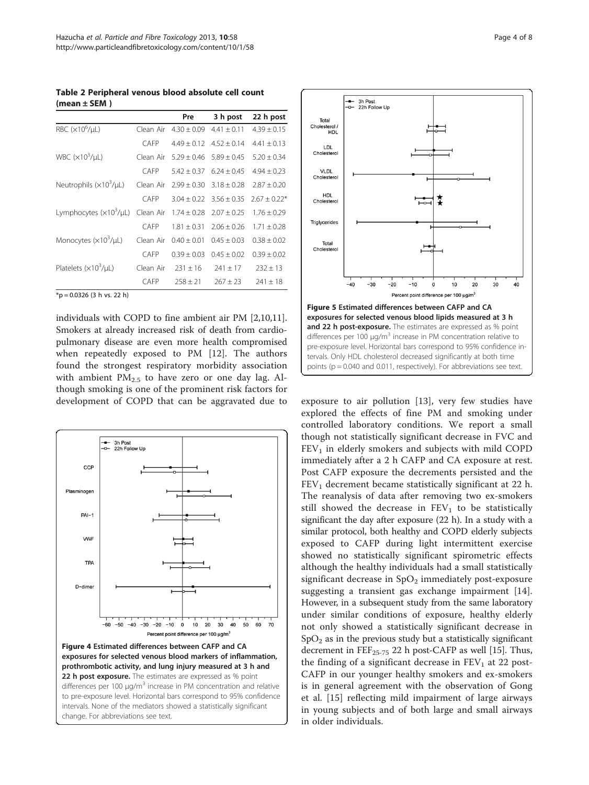<span id="page-3-0"></span>Table 2 Peripheral venous blood absolute cell count (mean ± SEM )

|                             |           | Pre             | 3 h post        | 22 h post        |  |
|-----------------------------|-----------|-----------------|-----------------|------------------|--|
| RBC $(x10^6/\mu L)$         | Clean Air | $4.30 \pm 0.09$ | $4.41 \pm 0.11$ | $4.39 \pm 0.15$  |  |
|                             | CAFP      | $4.49 + 0.12$   | $4.52 + 0.14$   | $4.41 \pm 0.13$  |  |
| WBC $(x10^3/\mu)$           | Clean Air | $5.29 + 0.46$   | $5.89 + 0.45$   | $5.20 + 0.34$    |  |
|                             | CAFP      | $5.42 + 0.37$   | $6.24 + 0.45$   | $4.94 + 0.23$    |  |
| Neutrophils $(x10^3/\mu L)$ | Clean Air | $2.99 \pm 0.30$ | $3.18 + 0.28$   | $7.87 + 0.20$    |  |
|                             | CAFP      | $3.04 + 0.22$   | $3.56 + 0.35$   | $2.67 \pm 0.22*$ |  |
| Lymphocytes $(x10^3/\mu L)$ | Clean Air | $1.74 \pm 0.28$ | $2.07 + 0.25$   | $1.76 + 0.29$    |  |
|                             | CAFP      | $1.81 + 0.31$   | $2.06 + 0.26$   | $1.71 + 0.28$    |  |
| Monocytes $(x10^3/\mu L)$   | Clean Air | $0.40 + 0.01$   | $0.45 + 0.03$   | $0.38 + 0.02$    |  |
|                             | CAFP      | $0.39 \pm 0.03$ | $0.45 + 0.02$   | $0.39 + 0.02$    |  |
| Platelets $(x10^3/\mu L)$   | Clean Air | $231 + 16$      | $241 + 17$      | $232 \pm 13$     |  |
|                             | CAFP      | $258 + 21$      | $267 + 23$      | $241 + 18$       |  |

 $*$ p = 0.0326 (3 h vs. 22 h)

individuals with COPD to fine ambient air PM [\[2,10,11](#page-7-0)]. Smokers at already increased risk of death from cardiopulmonary disease are even more health compromised when repeatedly exposed to PM [\[12](#page-7-0)]. The authors found the strongest respiratory morbidity association with ambient  $PM_{2.5}$  to have zero or one day lag. Although smoking is one of the prominent risk factors for development of COPD that can be aggravated due to exposure to air pollution [\[13](#page-7-0)], very few studies have





explored the effects of fine PM and smoking under controlled laboratory conditions. We report a small though not statistically significant decrease in FVC and  $FEV<sub>1</sub>$  in elderly smokers and subjects with mild COPD immediately after a 2 h CAFP and CA exposure at rest. Post CAFP exposure the decrements persisted and the  $FEV<sub>1</sub>$  decrement became statistically significant at 22 h. The reanalysis of data after removing two ex-smokers still showed the decrease in  $FEV<sub>1</sub>$  to be statistically significant the day after exposure (22 h). In a study with a similar protocol, both healthy and COPD elderly subjects exposed to CAFP during light intermittent exercise showed no statistically significant spirometric effects although the healthy individuals had a small statistically significant decrease in  $SpO<sub>2</sub>$  immediately post-exposure suggesting a transient gas exchange impairment [\[14](#page-7-0)]. However, in a subsequent study from the same laboratory under similar conditions of exposure, healthy elderly not only showed a statistically significant decrease in  $SpO<sub>2</sub>$  as in the previous study but a statistically significant decrement in  $\text{FEF}_{25-75}$  22 h post-CAFP as well [\[15\]](#page-7-0). Thus, the finding of a significant decrease in  $FEV<sub>1</sub>$  at 22 post-CAFP in our younger healthy smokers and ex-smokers is in general agreement with the observation of Gong et al. [[15\]](#page-7-0) reflecting mild impairment of large airways in young subjects and of both large and small airways in older individuals.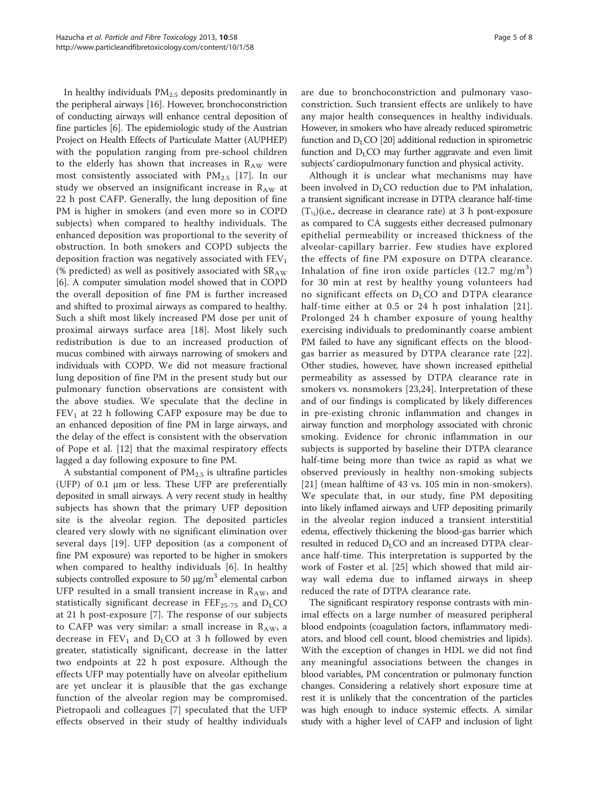In healthy individuals PM<sub>2.5</sub> deposits predominantly in the peripheral airways [\[16\]](#page-7-0). However, bronchoconstriction of conducting airways will enhance central deposition of fine particles [\[6\]](#page-7-0). The epidemiologic study of the Austrian Project on Health Effects of Particulate Matter (AUPHEP) with the population ranging from pre-school children to the elderly has shown that increases in  $R_{AW}$  were most consistently associated with  $PM_{2.5}$  [\[17](#page-7-0)]. In our study we observed an insignificant increase in  $R_{AW}$  at 22 h post CAFP. Generally, the lung deposition of fine PM is higher in smokers (and even more so in COPD subjects) when compared to healthy individuals. The enhanced deposition was proportional to the severity of obstruction. In both smokers and COPD subjects the deposition fraction was negatively associated with  $FEV<sub>1</sub>$ (% predicted) as well as positively associated with  $SR_{AW}$ [[6\]](#page-7-0). A computer simulation model showed that in COPD the overall deposition of fine PM is further increased and shifted to proximal airways as compared to healthy. Such a shift most likely increased PM dose per unit of proximal airways surface area [\[18](#page-7-0)]. Most likely such redistribution is due to an increased production of mucus combined with airways narrowing of smokers and individuals with COPD. We did not measure fractional lung deposition of fine PM in the present study but our pulmonary function observations are consistent with the above studies. We speculate that the decline in  $FEV<sub>1</sub>$  at 22 h following CAFP exposure may be due to an enhanced deposition of fine PM in large airways, and the delay of the effect is consistent with the observation of Pope et al. [[12](#page-7-0)] that the maximal respiratory effects lagged a day following exposure to fine PM.

A substantial component of  $PM<sub>2.5</sub>$  is ultrafine particles (UFP) of 0.1 μm or less. These UFP are preferentially deposited in small airways. A very recent study in healthy subjects has shown that the primary UFP deposition site is the alveolar region. The deposited particles cleared very slowly with no significant elimination over several days [\[19](#page-7-0)]. UFP deposition (as a component of fine PM exposure) was reported to be higher in smokers when compared to healthy individuals [\[6](#page-7-0)]. In healthy subjects controlled exposure to 50  $\mu$ g/m<sup>3</sup> elemental carbon UFP resulted in a small transient increase in  $R_{AW}$ , and statistically significant decrease in  $FEF_{25-75}$  and  $D_{L}CO$ at 21 h post-exposure [[7\]](#page-7-0). The response of our subjects to CAFP was very similar: a small increase in  $R_{AW}$ , a decrease in  $FEV_1$  and  $D_LCO$  at 3 h followed by even greater, statistically significant, decrease in the latter two endpoints at 22 h post exposure. Although the effects UFP may potentially have on alveolar epithelium are yet unclear it is plausible that the gas exchange function of the alveolar region may be compromised. Pietropaoli and colleagues [[7](#page-7-0)] speculated that the UFP effects observed in their study of healthy individuals are due to bronchoconstriction and pulmonary vasoconstriction. Such transient effects are unlikely to have any major health consequences in healthy individuals. However, in smokers who have already reduced spirometric function and  $D_{L}CO$  [\[20\]](#page-7-0) additional reduction in spirometric function and  $D<sub>L</sub>CO$  may further aggravate and even limit subjects' cardiopulmonary function and physical activity.

Although it is unclear what mechanisms may have been involved in  $D<sub>L</sub>CO$  reduction due to PM inhalation, a transient significant increase in DTPA clearance half-time  $(T_{\frac{1}{2}})(i.e.,$  decrease in clearance rate) at 3 h post-exposure as compared to CA suggests either decreased pulmonary epithelial permeability or increased thickness of the alveolar-capillary barrier. Few studies have explored the effects of fine PM exposure on DTPA clearance. Inhalation of fine iron oxide particles  $(12.7 \text{ mg/m}^3)$ for 30 min at rest by healthy young volunteers had no significant effects on  $D<sub>L</sub>CO$  and DTPA clearance half-time either at 0.5 or 24 h post inhalation [[21\]](#page-7-0). Prolonged 24 h chamber exposure of young healthy exercising individuals to predominantly coarse ambient PM failed to have any significant effects on the bloodgas barrier as measured by DTPA clearance rate [[22](#page-7-0)]. Other studies, however, have shown increased epithelial permeability as assessed by DTPA clearance rate in smokers vs. nonsmokers [\[23](#page-7-0),[24\]](#page-7-0). Interpretation of these and of our findings is complicated by likely differences in pre-existing chronic inflammation and changes in airway function and morphology associated with chronic smoking. Evidence for chronic inflammation in our subjects is supported by baseline their DTPA clearance half-time being more than twice as rapid as what we observed previously in healthy non-smoking subjects [[21](#page-7-0)] (mean halftime of 43 vs. 105 min in non-smokers). We speculate that, in our study, fine PM depositing into likely inflamed airways and UFP depositing primarily in the alveolar region induced a transient interstitial edema, effectively thickening the blood-gas barrier which resulted in reduced  $D_{L}CO$  and an increased DTPA clearance half-time. This interpretation is supported by the work of Foster et al. [[25\]](#page-7-0) which showed that mild airway wall edema due to inflamed airways in sheep reduced the rate of DTPA clearance rate.

The significant respiratory response contrasts with minimal effects on a large number of measured peripheral blood endpoints (coagulation factors, inflammatory mediators, and blood cell count, blood chemistries and lipids). With the exception of changes in HDL we did not find any meaningful associations between the changes in blood variables, PM concentration or pulmonary function changes. Considering a relatively short exposure time at rest it is unlikely that the concentration of the particles was high enough to induce systemic effects. A similar study with a higher level of CAFP and inclusion of light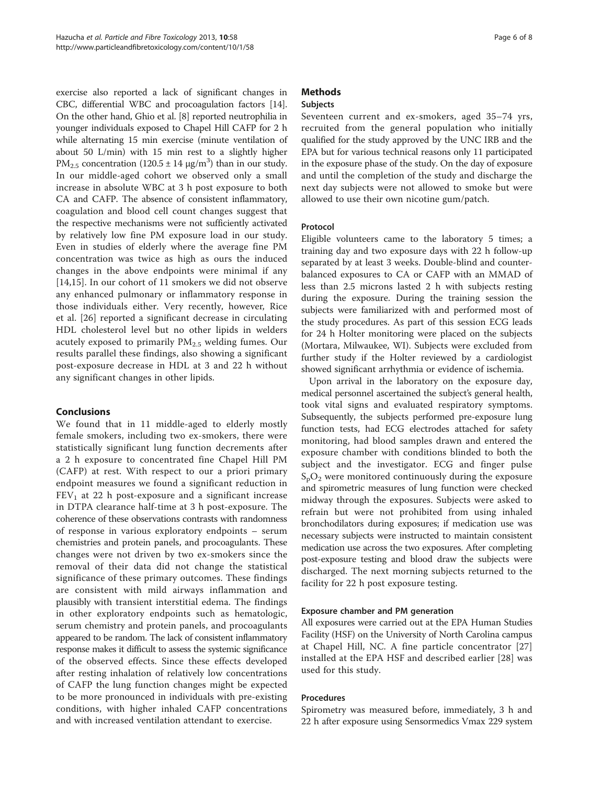exercise also reported a lack of significant changes in CBC, differential WBC and procoagulation factors [[14](#page-7-0)]. On the other hand, Ghio et al. [[8\]](#page-7-0) reported neutrophilia in younger individuals exposed to Chapel Hill CAFP for 2 h while alternating 15 min exercise (minute ventilation of about 50 L/min) with 15 min rest to a slightly higher PM<sub>2.5</sub> concentration (120.5  $\pm$  14  $\mu$ g/m<sup>3</sup>) than in our study. In our middle-aged cohort we observed only a small increase in absolute WBC at 3 h post exposure to both CA and CAFP. The absence of consistent inflammatory, coagulation and blood cell count changes suggest that the respective mechanisms were not sufficiently activated by relatively low fine PM exposure load in our study. Even in studies of elderly where the average fine PM concentration was twice as high as ours the induced changes in the above endpoints were minimal if any [[14,15](#page-7-0)]. In our cohort of 11 smokers we did not observe any enhanced pulmonary or inflammatory response in those individuals either. Very recently, however, Rice et al. [\[26](#page-7-0)] reported a significant decrease in circulating HDL cholesterol level but no other lipids in welders acutely exposed to primarily  $PM_{2.5}$  welding fumes. Our results parallel these findings, also showing a significant post-exposure decrease in HDL at 3 and 22 h without any significant changes in other lipids.

# Conclusions

We found that in 11 middle-aged to elderly mostly female smokers, including two ex-smokers, there were statistically significant lung function decrements after a 2 h exposure to concentrated fine Chapel Hill PM (CAFP) at rest. With respect to our a priori primary endpoint measures we found a significant reduction in  $FEV<sub>1</sub>$  at 22 h post-exposure and a significant increase in DTPA clearance half-time at 3 h post-exposure. The coherence of these observations contrasts with randomness of response in various exploratory endpoints – serum chemistries and protein panels, and procoagulants. These changes were not driven by two ex-smokers since the removal of their data did not change the statistical significance of these primary outcomes. These findings are consistent with mild airways inflammation and plausibly with transient interstitial edema. The findings in other exploratory endpoints such as hematologic, serum chemistry and protein panels, and procoagulants appeared to be random. The lack of consistent inflammatory response makes it difficult to assess the systemic significance of the observed effects. Since these effects developed after resting inhalation of relatively low concentrations of CAFP the lung function changes might be expected to be more pronounced in individuals with pre-existing conditions, with higher inhaled CAFP concentrations and with increased ventilation attendant to exercise.

# **Methods**

# Subjects

Seventeen current and ex-smokers, aged 35–74 yrs, recruited from the general population who initially qualified for the study approved by the UNC IRB and the EPA but for various technical reasons only 11 participated in the exposure phase of the study. On the day of exposure and until the completion of the study and discharge the next day subjects were not allowed to smoke but were allowed to use their own nicotine gum/patch.

# Protocol

Eligible volunteers came to the laboratory 5 times; a training day and two exposure days with 22 h follow-up separated by at least 3 weeks. Double-blind and counterbalanced exposures to CA or CAFP with an MMAD of less than 2.5 microns lasted 2 h with subjects resting during the exposure. During the training session the subjects were familiarized with and performed most of the study procedures. As part of this session ECG leads for 24 h Holter monitoring were placed on the subjects (Mortara, Milwaukee, WI). Subjects were excluded from further study if the Holter reviewed by a cardiologist showed significant arrhythmia or evidence of ischemia.

Upon arrival in the laboratory on the exposure day, medical personnel ascertained the subject's general health, took vital signs and evaluated respiratory symptoms. Subsequently, the subjects performed pre-exposure lung function tests, had ECG electrodes attached for safety monitoring, had blood samples drawn and entered the exposure chamber with conditions blinded to both the subject and the investigator. ECG and finger pulse  $S_pO_2$  were monitored continuously during the exposure and spirometric measures of lung function were checked midway through the exposures. Subjects were asked to refrain but were not prohibited from using inhaled bronchodilators during exposures; if medication use was necessary subjects were instructed to maintain consistent medication use across the two exposures. After completing post-exposure testing and blood draw the subjects were discharged. The next morning subjects returned to the facility for 22 h post exposure testing.

# Exposure chamber and PM generation

All exposures were carried out at the EPA Human Studies Facility (HSF) on the University of North Carolina campus at Chapel Hill, NC. A fine particle concentrator [\[27](#page-7-0)] installed at the EPA HSF and described earlier [[28\]](#page-7-0) was used for this study.

# Procedures

Spirometry was measured before, immediately, 3 h and 22 h after exposure using Sensormedics Vmax 229 system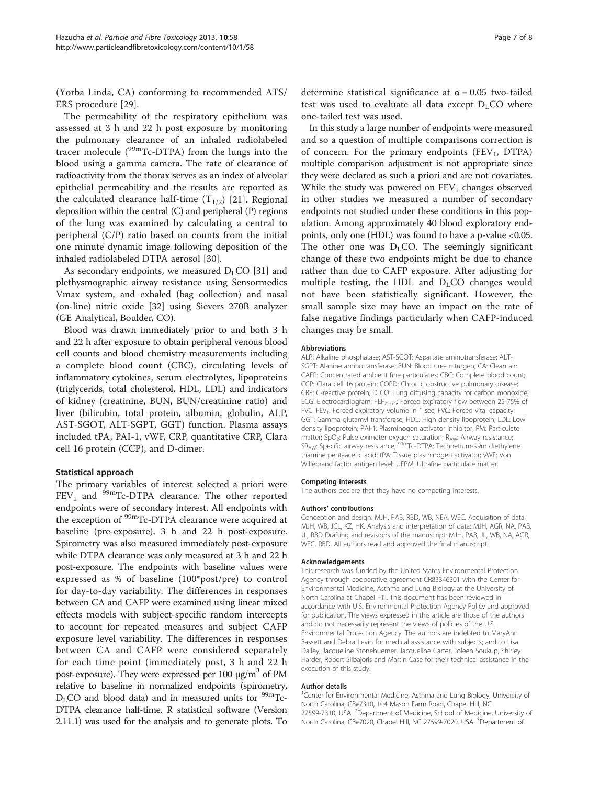(Yorba Linda, CA) conforming to recommended ATS/ ERS procedure [[29](#page-7-0)].

The permeability of the respiratory epithelium was assessed at 3 h and 22 h post exposure by monitoring the pulmonary clearance of an inhaled radiolabeled tracer molecule  $(^{99}$ mTc-DTPA) from the lungs into the blood using a gamma camera. The rate of clearance of radioactivity from the thorax serves as an index of alveolar epithelial permeability and the results are reported as the calculated clearance half-time  $(T_{1/2})$  [\[21](#page-7-0)]. Regional deposition within the central (C) and peripheral (P) regions of the lung was examined by calculating a central to peripheral (C/P) ratio based on counts from the initial one minute dynamic image following deposition of the inhaled radiolabeled DTPA aerosol [[30\]](#page-7-0).

As secondary endpoints, we measured  $D<sub>L</sub>CO$  [\[31\]](#page-7-0) and plethysmographic airway resistance using Sensormedics Vmax system, and exhaled (bag collection) and nasal (on-line) nitric oxide [[32\]](#page-7-0) using Sievers 270B analyzer (GE Analytical, Boulder, CO).

Blood was drawn immediately prior to and both 3 h and 22 h after exposure to obtain peripheral venous blood cell counts and blood chemistry measurements including a complete blood count (CBC), circulating levels of inflammatory cytokines, serum electrolytes, lipoproteins (triglycerids, total cholesterol, HDL, LDL) and indicators of kidney (creatinine, BUN, BUN/creatinine ratio) and liver (bilirubin, total protein, albumin, globulin, ALP, AST-SGOT, ALT-SGPT, GGT) function. Plasma assays included tPA, PAI-1, vWF, CRP, quantitative CRP, Clara cell 16 protein (CCP), and D-dimer.

#### Statistical approach

The primary variables of interest selected a priori were  $FEV<sub>1</sub>$  and <sup>99m</sup>Tc-DTPA clearance. The other reported endpoints were of secondary interest. All endpoints with the exception of <sup>99m</sup>Tc-DTPA clearance were acquired at baseline (pre-exposure), 3 h and 22 h post-exposure. Spirometry was also measured immediately post-exposure while DTPA clearance was only measured at 3 h and 22 h post-exposure. The endpoints with baseline values were expressed as % of baseline (100\*post/pre) to control for day-to-day variability. The differences in responses between CA and CAFP were examined using linear mixed effects models with subject-specific random intercepts to account for repeated measures and subject CAFP exposure level variability. The differences in responses between CA and CAFP were considered separately for each time point (immediately post, 3 h and 22 h post-exposure). They were expressed per 100  $\mu$ g/m<sup>3</sup> of PM relative to baseline in normalized endpoints (spirometry,  $D_{L}CO$  and blood data) and in measured units for  $99m$ Tc-DTPA clearance half-time. R statistical software (Version 2.11.1) was used for the analysis and to generate plots. To

determine statistical significance at  $\alpha$  = 0.05 two-tailed test was used to evaluate all data except  $D<sub>L</sub>CO$  where one-tailed test was used.

In this study a large number of endpoints were measured and so a question of multiple comparisons correction is of concern. For the primary endpoints  $(FEV_1, DTPA)$ multiple comparison adjustment is not appropriate since they were declared as such a priori and are not covariates. While the study was powered on  $FEV<sub>1</sub>$  changes observed in other studies we measured a number of secondary endpoints not studied under these conditions in this population. Among approximately 40 blood exploratory endpoints, only one (HDL) was found to have a p-value <0.05. The other one was  $D<sub>L</sub>CO$ . The seemingly significant change of these two endpoints might be due to chance rather than due to CAFP exposure. After adjusting for multiple testing, the HDL and  $D<sub>L</sub>CO$  changes would not have been statistically significant. However, the small sample size may have an impact on the rate of false negative findings particularly when CAFP-induced changes may be small.

#### Abbreviations

ALP: Alkaline phosphatase; AST-SGOT: Aspartate aminotransferase; ALT-SGPT: Alanine aminotransferase; BUN: Blood urea nitrogen; CA: Clean air; CAFP: Concentrated ambient fine particulates; CBC: Complete blood count; CCP: Clara cell 16 protein; COPD: Chronic obstructive pulmonary disease; CRP: C-reactive protein; D<sub>LCO</sub>: Lung diffusing capacity for carbon monoxide; ECG: Electrocardiogram; FEF<sub>25-75</sub>: Forced expiratory flow between 25-75% of FVC; FEV<sub>1</sub>: Forced expiratory volume in 1 sec; FVC: Forced vital capacity; GGT: Gamma glutamyl transferase; HDL: High density lipoprotein; LDL: Low density lipoprotein; PAI-1: Plasminogen activator inhibitor; PM: Particulate matter; SpO<sub>2</sub>: Pulse oximeter oxygen saturation; R<sub>AW</sub>: Airway resistance; SR<sub>AW</sub>: Specific airway resistance; <sup>99m</sup>Tc-DTPA: Technetium-99m diethylene triamine pentaacetic acid; tPA: Tissue plasminogen activator; vWF: Von Willebrand factor antigen level; UFPM: Ultrafine particulate matter.

#### Competing interests

The authors declare that they have no competing interests.

#### Authors' contributions

Conception and design: MJH, PAB, RBD, WB, NEA, WEC. Acquisition of data: MJH, WB, JCL, KZ, HK. Analysis and interpretation of data: MJH, AGR, NA, PAB, JL, RBD Drafting and revisions of the manuscript: MJH, PAB, JL, WB, NA, AGR, WEC, RBD. All authors read and approved the final manuscript.

#### Acknowledgements

This research was funded by the United States Environmental Protection Agency through cooperative agreement CR83346301 with the Center for Environmental Medicine, Asthma and Lung Biology at the University of North Carolina at Chapel Hill. This document has been reviewed in accordance with U.S. Environmental Protection Agency Policy and approved for publication. The views expressed in this article are those of the authors and do not necessarily represent the views of policies of the U.S. Environmental Protection Agency. The authors are indebted to MaryAnn Bassett and Debra Levin for medical assistance with subjects; and to Lisa Dailey, Jacqueline Stonehuerner, Jacqueline Carter, Joleen Soukup, Shirley Harder, Robert Silbajoris and Martin Case for their technical assistance in the execution of this study.

#### Author details

<sup>1</sup> Center for Environmental Medicine, Asthma and Lung Biology, University of North Carolina, CB#7310, 104 Mason Farm Road, Chapel Hill, NC 27599-7310, USA. <sup>2</sup>Department of Medicine, School of Medicine, University of North Carolina, CB#7020, Chapel Hill, NC 27599-7020, USA. <sup>3</sup>Department of